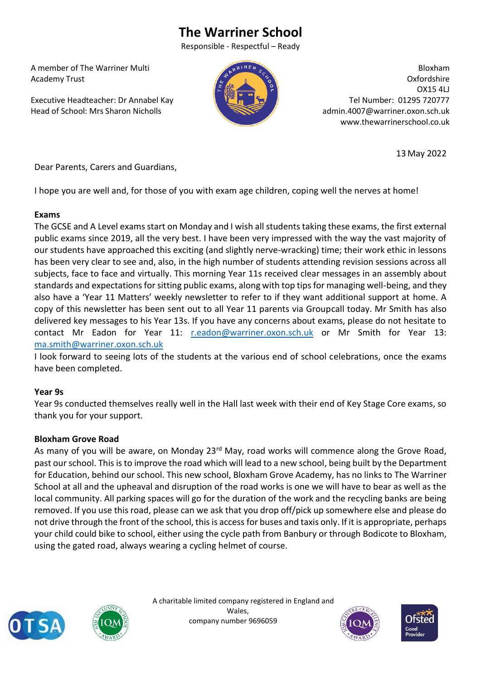# **The Warriner School**

Responsible - Respectful – Ready

 A member of The Warriner Multi Academy Trust

 Executive Headteacher: Dr Annabel Kay Head of School: Mrs Sharon Nicholls



Bloxham Oxfordshire OX15 4LJ Tel Number: 01295 720777 admin.4007@warriner.oxon.sch.uk www.thewarrinerschool.co.uk

13 May 2022

Dear Parents, Carers and Guardians,

I hope you are well and, for those of you with exam age children, coping well the nerves at home!

## **Exams**

The GCSE and A Level exams start on Monday and I wish all students taking these exams, the first external public exams since 2019, all the very best. I have been very impressed with the way the vast majority of our students have approached this exciting (and slightly nerve-wracking) time; their work ethic in lessons has been very clear to see and, also, in the high number of students attending revision sessions across all subjects, face to face and virtually. This morning Year 11s received clear messages in an assembly about standards and expectations for sitting public exams, along with top tips for managing well-being, and they also have a 'Year 11 Matters' weekly newsletter to refer to if they want additional support at home. A copy of this newsletter has been sent out to all Year 11 parents via Groupcall today. Mr Smith has also delivered key messages to his Year 13s. If you have any concerns about exams, please do not hesitate to contact Mr Eadon for Year 11: [r.eadon@warriner.oxon.sch.uk](mailto:r.eadon@warriner.oxon.sch.uk) or Mr Smith for Year 13: [ma.smith@warriner.oxon.sch.uk](mailto:ma.smith@warriner.oxon.sch.uk)

I look forward to seeing lots of the students at the various end of school celebrations, once the exams have been completed.

## **Year 9s**

Year 9s conducted themselves really well in the Hall last week with their end of Key Stage Core exams, so thank you for your support.

## **Bloxham Grove Road**

As many of you will be aware, on Monday 23<sup>rd</sup> May, road works will commence along the Grove Road, past our school. This is to improve the road which will lead to a new school, being built by the Department for Education, behind our school. This new school, Bloxham Grove Academy, has no links to The Warriner School at all and the upheaval and disruption of the road works is one we will have to bear as well as the local community. All parking spaces will go for the duration of the work and the recycling banks are being removed. If you use this road, please can we ask that you drop off/pick up somewhere else and please do not drive through the front of the school, this is access for buses and taxis only. If it is appropriate, perhaps your child could bike to school, either using the cycle path from Banbury or through Bodicote to Bloxham, using the gated road, always wearing a cycling helmet of course.





 A charitable limited company registered in England and Wales, company number 9696059